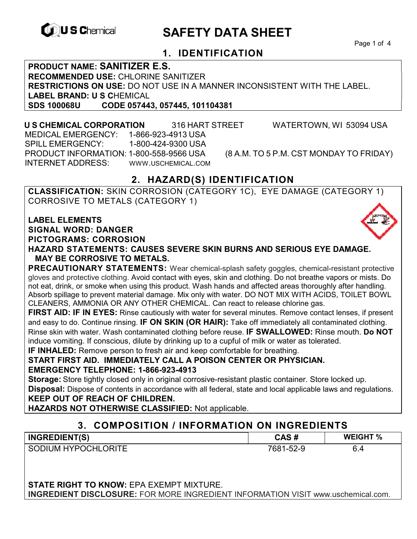

# **CONSCHEMICAL SAFETY DATA SHEET**

Page 1 of 4

# **1. IDENTIFICATION**

**PRODUCT NAME: SANITIZER E.S.** 

**RECOMMENDED USE:** CHLORINE SANITIZER **RESTRICTIONS ON USE:** DO NOT USE IN A MANNER INCONSISTENT WITH THE LABEL. **LABEL BRAND: U S C**HEMICAL **SDS 100068U CODE 057443, 057445, 101104381** 

 **U S CHEMICAL CORPORATION** 316 HART STREET WATERTOWN, WI 53094 USA MEDICAL EMERGENCY: 1-866-923-4913 USA SPILL EMERGENCY: 1-800-424-9300 USA PRODUCT INFORMATION: 1-800-558-9566 USA (8 A.M. TO 5 P.M. CST MONDAY TO FRIDAY) INTERNET ADDRESS: WWW.USCHEMICAL.COM

# **2. HAZARD(S) IDENTIFICATION**

**CLASSIFICATION:** SKIN CORROSION (CATEGORY 1C), EYE DAMAGE (CATEGORY 1) CORROSIVE TO METALS (CATEGORY 1)

**LABEL ELEMENTS SIGNAL WORD: DANGER**

**PICTOGRAMS: CORROSION**

**HAZARD STATEMENTS: CAUSES SEVERE SKIN BURNS AND SERIOUS EYE DAMAGE. MAY BE CORROSIVE TO METALS.** 

**PRECAUTIONARY STATEMENTS:** Wear chemical-splash safety goggles, chemical-resistant protective gloves and protective clothing. Avoid contact with eyes, skin and clothing. Do not breathe vapors or mists. Do not eat, drink, or smoke when using this product. Wash hands and affected areas thoroughly after handling. Absorb spillage to prevent material damage. Mix only with water. DO NOT MIX WITH ACIDS, TOILET BOWL CLEANERS, AMMONIA OR ANY OTHER CHEMICAL. Can react to release chlorine gas.

**FIRST AID: IF IN EYES:** Rinse cautiously with water for several minutes. Remove contact lenses, if present and easy to do. Continue rinsing. **IF ON SKIN (OR HAIR):** Take off immediately all contaminated clothing. Rinse skin with water. Wash contaminated clothing before reuse. **IF SWALLOWED:** Rinse mouth. **Do NOT**  induce vomiting. If conscious, dilute by drinking up to a cupful of milk or water as tolerated.

**IF INHALED:** Remove person to fresh air and keep comfortable for breathing.

# **START FIRST AID. IMMEDIATELY CALL A POISON CENTER OR PHYSICIAN.**

#### **EMERGENCY TELEPHONE: 1-866-923-4913**

**Storage:** Store tightly closed only in original corrosive-resistant plastic container. Store locked up. **Disposal:** Dispose of contents in accordance with all federal, state and local applicable laws and regulations.

#### **KEEP OUT OF REACH OF CHILDREN.**

**HAZARDS NOT OTHERWISE CLASSIFIED:** Not applicable.

# **3. COMPOSITION / INFORMATION ON INGREDIENTS**

| <b>INGREDIENT(S)</b> | CAS#      | <b>WEIGHT %</b>   |
|----------------------|-----------|-------------------|
| SODIUM HYPOCHLORITE  | 7681-52-9 | $\epsilon$<br>o.4 |

**STATE RIGHT TO KNOW:** EPA EXEMPT MIXTURE. **INGREDIENT DISCLOSURE:** FOR MORE INGREDIENT INFORMATION VISIT www.uschemical.com.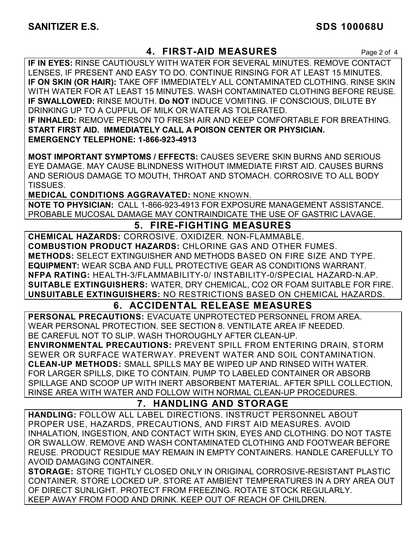### **4. FIRST-AID MEASURES** Page 2 of 4

**IF IN EYES:** RINSE CAUTIOUSLY WITH WATER FOR SEVERAL MINUTES. REMOVE CONTACT LENSES, IF PRESENT AND EASY TO DO. CONTINUE RINSING FOR AT LEAST 15 MINUTES. **IF ON SKIN (OR HAIR):** TAKE OFF IMMEDIATELY ALL CONTAMINATED CLOTHING. RINSE SKIN WITH WATER FOR AT LEAST 15 MINUTES. WASH CONTAMINATED CLOTHING BEFORE REUSE. **IF SWALLOWED:** RINSE MOUTH. **Do NOT** INDUCE VOMITING. IF CONSCIOUS, DILUTE BY DRINKING UP TO A CUPFUL OF MILK OR WATER AS TOLERATED. **IF INHALED:** REMOVE PERSON TO FRESH AIR AND KEEP COMFORTABLE FOR BREATHING. **START FIRST AID. IMMEDIATELY CALL A POISON CENTER OR PHYSICIAN. EMERGENCY TELEPHONE: 1-866-923-4913**

**MOST IMPORTANT SYMPTOMS / EFFECTS:** CAUSES SEVERE SKIN BURNS AND SERIOUS EYE DAMAGE. MAY CAUSE BLINDNESS WITHOUT IMMEDIATE FIRST AID. CAUSES BURNS AND SERIOUS DAMAGE TO MOUTH, THROAT AND STOMACH. CORROSIVE TO ALL BODY TISSUES.

**MEDICAL CONDITIONS AGGRAVATED:** NONE KNOWN.

**NOTE TO PHYSICIAN:** CALL 1-866-923-4913 FOR EXPOSURE MANAGEMENT ASSISTANCE. PROBABLE MUCOSAL DAMAGE MAY CONTRAINDICATE THE USE OF GASTRIC LAVAGE.

## **5. FIRE-FIGHTING MEASURES**

**CHEMICAL HAZARDS:** CORROSIVE. OXIDIZER. NON-FLAMMABLE. **COMBUSTION PRODUCT HAZARDS:** CHLORINE GAS AND OTHER FUMES. **METHODS:** SELECT EXTINGUISHER AND METHODS BASED ON FIRE SIZE AND TYPE. **EQUIPMENT:** WEAR SCBA AND FULL PROTECTIVE GEAR AS CONDITIONS WARRANT. **NFPA RATING:** HEALTH-3/FLAMMABILITY-0/ INSTABILITY-0/SPECIAL HAZARD-N.AP. **SUITABLE EXTINGUISHERS:** WATER, DRY CHEMICAL, CO2 OR FOAM SUITABLE FOR FIRE. **UNSUITABLE EXTINGUISHERS:** NO RESTRICTIONS BASED ON CHEMICAL HAZARDS.

### **6. ACCIDENTAL RELEASE MEASURES**

**PERSONAL PRECAUTIONS:** EVACUATE UNPROTECTED PERSONNEL FROM AREA. WEAR PERSONAL PROTECTION. SEE SECTION 8. VENTILATE AREA IF NEEDED. BE CAREFUL NOT TO SLIP. WASH THOROUGHLY AFTER CLEAN-UP.

**ENVIRONMENTAL PRECAUTIONS:** PREVENT SPILL FROM ENTERING DRAIN, STORM SEWER OR SURFACE WATERWAY. PREVENT WATER AND SOIL CONTAMINATION. **CLEAN-UP METHODS:** SMALL SPILLS MAY BE WIPED UP AND RINSED WITH WATER. FOR LARGER SPILLS, DIKE TO CONTAIN. PUMP TO LABELED CONTAINER OR ABSORB SPILLAGE AND SCOOP UP WITH INERT ABSORBENT MATERIAL. AFTER SPILL COLLECTION, RINSE AREA WITH WATER AND FOLLOW WITH NORMAL CLEAN-UP PROCEDURES.

# **7. HANDLING AND STORAGE**

**HANDLING:** FOLLOW ALL LABEL DIRECTIONS. INSTRUCT PERSONNEL ABOUT PROPER USE, HAZARDS, PRECAUTIONS, AND FIRST AID MEASURES. AVOID INHALATION, INGESTION, AND CONTACT WITH SKIN, EYES AND CLOTHING. DO NOT TASTE OR SWALLOW. REMOVE AND WASH CONTAMINATED CLOTHING AND FOOTWEAR BEFORE REUSE. PRODUCT RESIDUE MAY REMAIN IN EMPTY CONTAINERS. HANDLE CAREFULLY TO AVOID DAMAGING CONTAINER.

**STORAGE:** STORE TIGHTLY CLOSED ONLY IN ORIGINAL CORROSIVE-RESISTANT PLASTIC CONTAINER. STORE LOCKED UP. STORE AT AMBIENT TEMPERATURES IN A DRY AREA OUT OF DIRECT SUNLIGHT. PROTECT FROM FREEZING. ROTATE STOCK REGULARLY. KEEP AWAY FROM FOOD AND DRINK. KEEP OUT OF REACH OF CHILDREN.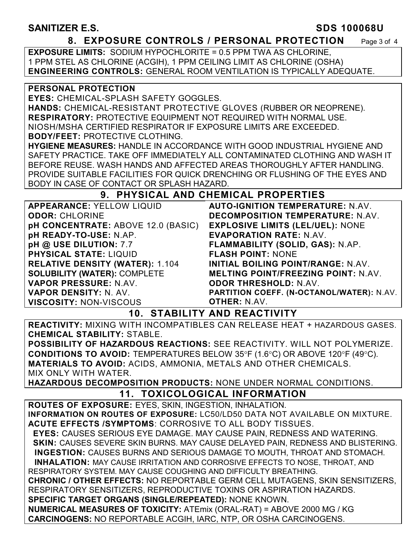| <b>SANITIZER E.S.</b>                                                                                                                                          | <b>SDS 100068U</b>                                                         |  |
|----------------------------------------------------------------------------------------------------------------------------------------------------------------|----------------------------------------------------------------------------|--|
| 8. EXPOSURE CONTROLS / PERSONAL PROTECTION                                                                                                                     | Page 3 of 4                                                                |  |
| <b>EXPOSURE LIMITS: SODIUM HYPOCHLORITE = 0.5 PPM TWA AS CHLORINE,</b>                                                                                         |                                                                            |  |
| 1 PPM STEL AS CHLORINE (ACGIH), 1 PPM CEILING LIMIT AS CHLORINE (OSHA)                                                                                         |                                                                            |  |
| <b>ENGINEERING CONTROLS: GENERAL ROOM VENTILATION IS TYPICALLY ADEQUATE.</b>                                                                                   |                                                                            |  |
| <b>PERSONAL PROTECTION</b>                                                                                                                                     |                                                                            |  |
| <b>EYES: CHEMICAL-SPLASH SAFETY GOGGLES.</b>                                                                                                                   |                                                                            |  |
| HANDS: CHEMICAL-RESISTANT PROTECTIVE GLOVES (RUBBER OR NEOPRENE).                                                                                              |                                                                            |  |
| <b>RESPIRATORY: PROTECTIVE EQUIPMENT NOT REQUIRED WITH NORMAL USE.</b>                                                                                         |                                                                            |  |
| NIOSH/MSHA CERTIFIED RESPIRATOR IF EXPOSURE LIMITS ARE EXCEEDED.                                                                                               |                                                                            |  |
| <b>BODY/FEET: PROTECTIVE CLOTHING.</b>                                                                                                                         |                                                                            |  |
| HYGIENE MEASURES: HANDLE IN ACCORDANCE WITH GOOD INDUSTRIAL HYGIENE AND                                                                                        |                                                                            |  |
| SAFETY PRACTICE. TAKE OFF IMMEDIATELY ALL CONTAMINATED CLOTHING AND WASH IT                                                                                    |                                                                            |  |
| BEFORE REUSE, WASH HANDS AND AFFECTED AREAS THOROUGHLY AFTER HANDLING.                                                                                         |                                                                            |  |
| PROVIDE SUITABLE FACILITIES FOR QUICK DRENCHING OR FLUSHING OF THE EYES AND                                                                                    |                                                                            |  |
| BODY IN CASE OF CONTACT OR SPLASH HAZARD.                                                                                                                      |                                                                            |  |
| 9. PHYSICAL AND CHEMICAL PROPERTIES                                                                                                                            |                                                                            |  |
| <b>APPEARANCE: YELLOW LIQUID</b>                                                                                                                               | <b>AUTO-IGNITION TEMPERATURE: N.AV.</b>                                    |  |
| <b>ODOR: CHLORINE</b>                                                                                                                                          | <b>DECOMPOSITION TEMPERATURE: N.AV.</b>                                    |  |
| pH CONCENTRATE: ABOVE 12.0 (BASIC)                                                                                                                             | <b>EXPLOSIVE LIMITS (LEL/UEL): NONE</b>                                    |  |
| pH READY-TO-USE: N.AP.                                                                                                                                         | <b>EVAPORATION RATE: N.AV.</b>                                             |  |
| pH @ USE DILUTION: 7.7                                                                                                                                         | FLAMMABILITY (SOLID, GAS): N.AP.                                           |  |
| <b>PHYSICAL STATE: LIQUID</b>                                                                                                                                  | <b>FLASH POINT: NONE</b>                                                   |  |
| <b>RELATIVE DENSITY (WATER): 1.104</b>                                                                                                                         | <b>INITIAL BOILING POINT/RANGE: N.AV.</b>                                  |  |
| <b>SOLUBILITY (WATER): COMPLETE</b><br><b>VAPOR PRESSURE: N.AV.</b>                                                                                            | <b>MELTING POINT/FREEZING POINT: N.AV.</b><br><b>ODOR THRESHOLD: N.AV.</b> |  |
| <b>VAPOR DENSITY: N. AV.</b>                                                                                                                                   | PARTITION COEFF. (N-OCTANOL/WATER): N.AV.                                  |  |
| <b>VISCOSITY: NON-VISCOUS</b>                                                                                                                                  | <b>OTHER: N.AV.</b>                                                        |  |
| <b>10. STABILITY AND REACTIVITY</b>                                                                                                                            |                                                                            |  |
|                                                                                                                                                                |                                                                            |  |
| <b>REACTIVITY: MIXING WITH INCOMPATIBLES CAN RELEASE HEAT + HAZARDOUS GASES.</b>                                                                               |                                                                            |  |
| <b>CHEMICAL STABILITY: STABLE.</b>                                                                                                                             |                                                                            |  |
| POSSIBILITY OF HAZARDOUS REACTIONS: SEE REACTIVITY. WILL NOT POLYMERIZE.<br><b>CONDITIONS TO AVOID: TEMPERATURES BELOW 35°F (1.6°C) OR ABOVE 120°F (49°C).</b> |                                                                            |  |
| MATERIALS TO AVOID: ACIDS, AMMONIA, METALS AND OTHER CHEMICALS.                                                                                                |                                                                            |  |
|                                                                                                                                                                |                                                                            |  |

MIX ONLY WITH WATER.

**HAZARDOUS DECOMPOSITION PRODUCTS:** NONE UNDER NORMAL CONDITIONS. **11. TOXICOLOGICAL INFORMATION** 

**ROUTES OF EXPOSURE:** EYES, SKIN, INGESTION, INHALATION. **INFORMATION ON ROUTES OF EXPOSURE:** LC50/LD50 DATA NOT AVAILABLE ON MIXTURE. **ACUTE EFFECTS /SYMPTOMS**: CORROSIVE TO ALL BODY TISSUES.

 **EYES:** CAUSES SERIOUS EYE DAMAGE. MAY CAUSE PAIN, REDNESS AND WATERING.  **SKIN:** CAUSES SEVERE SKIN BURNS. MAY CAUSE DELAYED PAIN, REDNESS AND BLISTERING. **INGESTION:** CAUSES BURNS AND SERIOUS DAMAGE TO MOUTH, THROAT AND STOMACH. **INHALATION:** MAY CAUSE IRRITATION AND CORROSIVE EFFECTS TO NOSE, THROAT, AND

RESPIRATORY SYSTEM. MAY CAUSE COUGHING AND DIFFICULTY BREATHING. **CHRONIC / OTHER EFFECTS:** NO REPORTABLE GERM CELL MUTAGENS, SKIN SENSITIZERS, RESPIRATORY SENSITIZERS, REPRODUCTIVE TOXINS OR ASPIRATION HAZARDS.

**SPECIFIC TARGET ORGANS (SINGLE/REPEATED):** NONE KNOWN.

**NUMERICAL MEASURES OF TOXICITY:** ATEmix (ORAL-RAT) = ABOVE 2000 MG / KG **CARCINOGENS:** NO REPORTABLE ACGIH, IARC, NTP, OR OSHA CARCINOGENS.